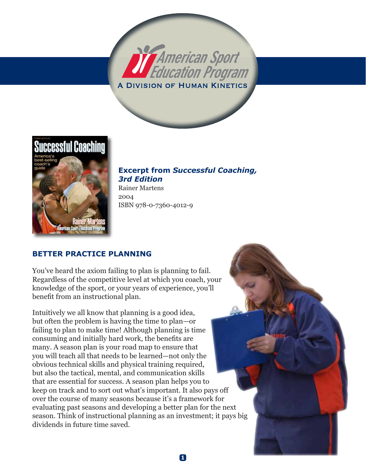



**Excerpt from** *Successful Coaching, 3rd Edition*

**1**

Rainer Martens 2004 ISBN 978-0-7360-4012-9

### **Better Practice planning**

You've heard the axiom failing to plan is planning to fail. Regardless of the competitive level at which you coach, your knowledge of the sport, or your years of experience, you'll benefit from an instructional plan.

Intuitively we all know that planning is a good idea, but often the problem is having the time to plan—or failing to plan to make time! Although planning is time consuming and initially hard work, the benefits are many. A season plan is your road map to ensure that you will teach all that needs to be learned—not only the obvious technical skills and physical training required, but also the tactical, mental, and communication skills that are essential for success. A season plan helps you to keep on track and to sort out what's important. It also pays off over the course of many seasons because it's a framework for evaluating past seasons and developing a better plan for the next season. Think of instructional planning as an investment; it pays big dividends in future time saved.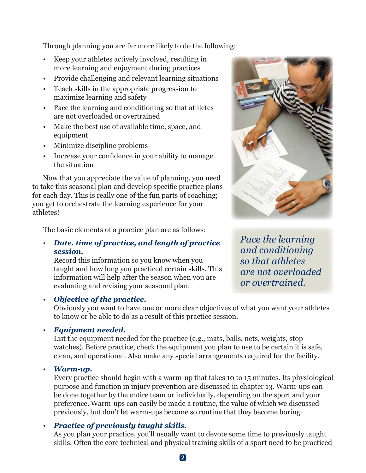Through planning you are far more likely to do the following:

- Keep your athletes actively involved, resulting in more learning and enjoyment during practices
- Provide challenging and relevant learning situations
- Teach skills in the appropriate progression to maximize learning and safety
- Pace the learning and conditioning so that athletes are not overloaded or overtrained
- Make the best use of available time, space, and equipment
- Minimize discipline problems
- Increase your confidence in your ability to manage the situation

Now that you appreciate the value of planning, you need to take this seasonal plan and develop specific practice plans for each day. This is really one of the fun parts of coaching; you get to orchestrate the learning experience for your athletes!

The basic elements of a practice plan are as follows:

• *Date, time of practice, and length of practice session.*

Record this information so you know when you taught and how long you practiced certain skills. This information will help after the season when you are evaluating and revising your seasonal plan.

### • *Objective of the practice.*



*Pace the learning and conditioning so that athletes are not overloaded or overtrained.*

Obviously you want to have one or more clear objectives of what you want your athletes to know or be able to do as a result of this practice session.

#### • *Equipment needed.*

List the equipment needed for the practice (e.g., mats, balls, nets, weights, stop watches). Before practice, check the equipment you plan to use to be certain it is safe, clean, and operational. Also make any special arrangements required for the facility.

#### • *Warm-up.*

Every practice should begin with a warm-up that takes 10 to 15 minutes. Its physiological purpose and function in injury prevention are discussed in chapter 13. Warm-ups can be done together by the entire team or individually, depending on the sport and your preference. Warm-ups can easily be made a routine, the value of which we discussed previously, but don't let warm-ups become so routine that they become boring.

#### • *Practice of previously taught skills.*

As you plan your practice, you'll usually want to devote some time to previously taught skills. Often the core technical and physical training skills of a sport need to be practiced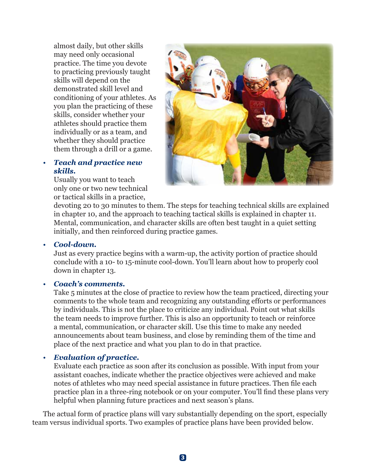almost daily, but other skills may need only occasional practice. The time you devote to practicing previously taught skills will depend on the demonstrated skill level and conditioning of your athletes. As you plan the practicing of these skills, consider whether your athletes should practice them individually or as a team, and whether they should practice them through a drill or a game.

#### • *Teach and practice new skills.*

Usually you want to teach only one or two new technical or tactical skills in a practice,



devoting 20 to 30 minutes to them. The steps for teaching technical skills are explained in chapter 10, and the approach to teaching tactical skills is explained in chapter 11. Mental, communication, and character skills are often best taught in a quiet setting initially, and then reinforced during practice games.

• *Cool-down.*

Just as every practice begins with a warm-up, the activity portion of practice should conclude with a 10- to 15-minute cool-down. You'll learn about how to properly cool down in chapter 13.

#### • *Coach's comments.*

Take 5 minutes at the close of practice to review how the team practiced, directing your comments to the whole team and recognizing any outstanding efforts or performances by individuals. This is not the place to criticize any individual. Point out what skills the team needs to improve further. This is also an opportunity to teach or reinforce a mental, communication, or character skill. Use this time to make any needed announcements about team business, and close by reminding them of the time and place of the next practice and what you plan to do in that practice.

#### • *Evaluation of practice.*

Evaluate each practice as soon after its conclusion as possible. With input from your assistant coaches, indicate whether the practice objectives were achieved and make notes of athletes who may need special assistance in future practices. Then file each practice plan in a three-ring notebook or on your computer. You'll find these plans very helpful when planning future practices and next season's plans.

The actual form of practice plans will vary substantially depending on the sport, especially team versus individual sports. Two examples of practice plans have been provided below.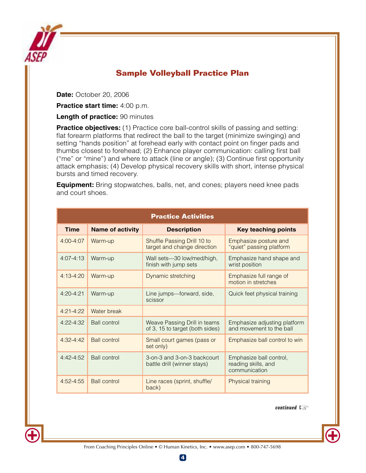

## **Sample Volleyball Practice Plan**

**Date:** October 20, 2006

**Practice start time:** 4:00 p.m.

**Length of practice:** 90 minutes

**Practice objectives:** (1) Practice core ball-control skills of passing and setting: flat forearm platforms that redirect the ball to the target (minimize swinging) and setting "hands position" at forehead early with contact point on finger pads and thumbs closest to forehead; (2) Enhance player communication: calling first ball ("me" or "mine") and where to attack (line or angle); (3) Continue first opportunity attack emphasis; (4) Develop physical recovery skills with short, intense physical bursts and timed recovery.

**Equipment:** Bring stopwatches, balls, net, and cones; players need knee pads and court shoes.

| <b>Practice Activities</b> |                         |                                                                 |                                                                 |  |  |
|----------------------------|-------------------------|-----------------------------------------------------------------|-----------------------------------------------------------------|--|--|
| <b>Time</b>                | <b>Name of activity</b> | <b>Description</b>                                              | <b>Key teaching points</b>                                      |  |  |
| $4:00 - 4:07$              | Warm-up                 | Shuffle Passing Drill 10 to<br>target and change direction      | Emphasize posture and<br>"quiet" passing platform               |  |  |
| $4:07 - 4:13$              | Warm-up                 | Wall sets-30 low/med/high,<br>finish with jump sets             | Emphasize hand shape and<br>wrist position                      |  |  |
| $4:13-4:20$                | Warm-up                 | Dynamic stretching                                              | Emphasize full range of<br>motion in stretches                  |  |  |
| $4:20-4:21$                | Warm-up                 | Line jumps-forward, side,<br>scissor                            | Quick feet physical training                                    |  |  |
| $4:21-4:22$                | Water break             |                                                                 |                                                                 |  |  |
| $4:22 - 4:32$              | <b>Ball control</b>     | Weave Passing Drill in teams<br>of 3, 15 to target (both sides) | Emphasize adjusting platform<br>and movement to the ball        |  |  |
| $4:32-4:42$                | <b>Ball control</b>     | Small court games (pass or<br>set only)                         | Emphasize ball control to win                                   |  |  |
| $4:42-4:52$                | <b>Ball control</b>     | 3-on-3 and 3-on-3 backcourt<br>battle drill (winner stays)      | Emphasize ball control,<br>reading skills, and<br>communication |  |  |
| $4:52 - 4:55$              | <b>Ball control</b>     | Line races (sprint, shuffle/<br>back)                           | Physical training                                               |  |  |

continued

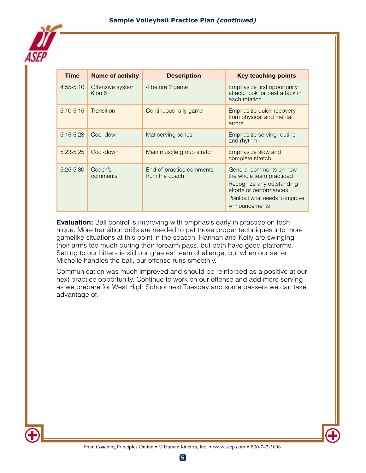

| <b>Time</b>   | <b>Name of activity</b>        | <b>Description</b>                         | <b>Key teaching points</b>                                                                                                                                      |
|---------------|--------------------------------|--------------------------------------------|-----------------------------------------------------------------------------------------------------------------------------------------------------------------|
| $4:55-5:10$   | Offensive system<br>$6$ on $6$ | 4 before 2 game                            | Emphasize first opportunity<br>attack, look for best attack in<br>each rotation                                                                                 |
| $5:10-5:15$   | Transition                     | Continuous rally game                      | Emphasize quick recovery<br>from physical and mental<br>errors                                                                                                  |
| $5:15-5:23$   | Cool-down                      | Mat serving series                         | Emphasize serving routine<br>and rhythm                                                                                                                         |
| $5:23-5:25$   | Cool-down                      | Main muscle group stretch                  | Emphasize slow and<br>complete stretch                                                                                                                          |
| $5:25 - 5:30$ | Coach's<br>comments            | End-of-practice comments<br>from the coach | General comments on how<br>the whole team practiced<br>Recognize any outstanding<br>efforts or performances<br>Point out what needs to improve<br>Announcements |

**Evaluation:** Ball control is improving with emphasis early in practice on technique. More transition drills are needed to get those proper techniques into more gamelike situations at this point in the season. Hannah and Keily are swinging their arms too much during their forearm pass, but both have good platforms. Setting to our hitters is still our greatest team challenge, but when our setter Michelle handles the ball, our offense runs smoothly.

Communication was much improved and should be reinforced as a positive at our next practice opportunity. Continue to work on our offense and add more serving as we prepare for West High School next Tuesday and some passers we can take advantage of.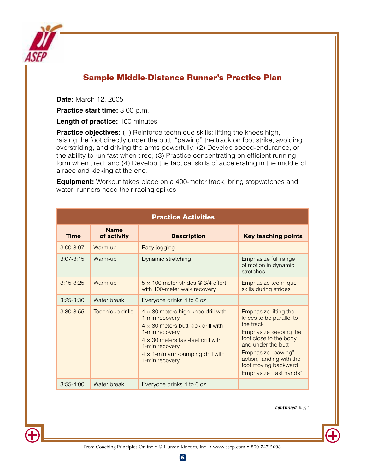

# **Sample Middle-Distance Runner's Practice Plan**

**Date:** March 12, 2005

**Practice start time:** 3:00 p.m.

**Length of practice:** 100 minutes

**Practice objectives:** (1) Reinforce technique skills: lifting the knees high, raising the foot directly under the butt, "pawing" the track on foot strike, avoiding overstriding, and driving the arms powerfully; (2) Develop speed-endurance, or the ability to run fast when tired; (3) Practice concentrating on efficient running form when tired; and (4) Develop the tactical skills of accelerating in the middle of a race and kicking at the end.

**Equipment:** Workout takes place on a 400-meter track; bring stopwatches and water; runners need their racing spikes.

| <b>Practice Activities</b> |                            |                                                                                                                                                                                                                                                         |                                                                                                                                                                                                                                            |  |  |
|----------------------------|----------------------------|---------------------------------------------------------------------------------------------------------------------------------------------------------------------------------------------------------------------------------------------------------|--------------------------------------------------------------------------------------------------------------------------------------------------------------------------------------------------------------------------------------------|--|--|
| <b>Time</b>                | <b>Name</b><br>of activity | <b>Description</b>                                                                                                                                                                                                                                      | <b>Key teaching points</b>                                                                                                                                                                                                                 |  |  |
| $3:00 - 3:07$              | Warm-up                    | Easy jogging                                                                                                                                                                                                                                            |                                                                                                                                                                                                                                            |  |  |
| $3:07 - 3:15$              | Warm-up                    | Dynamic stretching                                                                                                                                                                                                                                      | Emphasize full range<br>of motion in dynamic<br>stretches                                                                                                                                                                                  |  |  |
| $3:15-3:25$                | Warm-up                    | $5 \times 100$ meter strides @ 3/4 effort<br>with 100-meter walk recovery                                                                                                                                                                               | Emphasize technique<br>skills during strides                                                                                                                                                                                               |  |  |
| $3:25 - 3:30$              | Water break                | Everyone drinks 4 to 6 oz                                                                                                                                                                                                                               |                                                                                                                                                                                                                                            |  |  |
| $3:30-3:55$                | Technique drills           | $4 \times 30$ meters high-knee drill with<br>1-min recovery<br>$4 \times 30$ meters butt-kick drill with<br>1-min recovery<br>$4 \times 30$ meters fast-feet drill with<br>1-min recovery<br>$4 \times 1$ -min arm-pumping drill with<br>1-min recovery | Emphasize lifting the<br>knees to be parallel to<br>the track<br>Emphasize keeping the<br>foot close to the body<br>and under the butt<br>Emphasize "pawing"<br>action, landing with the<br>foot moving backward<br>Emphasize "fast hands" |  |  |
| $3:55 - 4:00$              | Water break                | Everyone drinks 4 to 6 oz                                                                                                                                                                                                                               |                                                                                                                                                                                                                                            |  |  |

continued

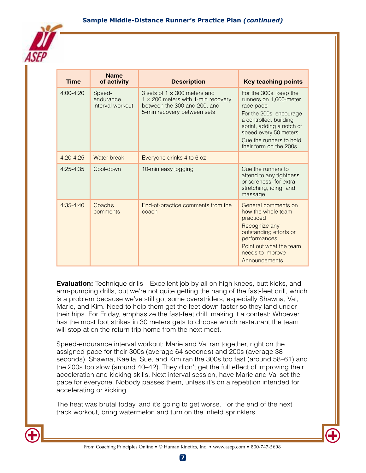

| <b>Time</b>   | <b>Name</b><br>of activity              | <b>Description</b>                                                                                                                              | <b>Key teaching points</b>                                                                                                                                                                                                    |
|---------------|-----------------------------------------|-------------------------------------------------------------------------------------------------------------------------------------------------|-------------------------------------------------------------------------------------------------------------------------------------------------------------------------------------------------------------------------------|
| $4:00 - 4:20$ | Speed-<br>endurance<br>interval workout | 3 sets of $1 \times 300$ meters and<br>$1 \times 200$ meters with 1-min recovery<br>between the 300 and 200, and<br>5-min recovery between sets | For the 300s, keep the<br>runners on 1,600-meter<br>race pace<br>For the 200s, encourage<br>a controlled, building<br>sprint, adding a notch of<br>speed every 50 meters<br>Cue the runners to hold<br>their form on the 200s |
| $4:20 - 4:25$ | Water break                             | Everyone drinks 4 to 6 oz                                                                                                                       |                                                                                                                                                                                                                               |
| $4:25 - 4:35$ | Cool-down                               | 10-min easy jogging                                                                                                                             | Cue the runners to<br>attend to any tightness<br>or soreness, for extra<br>stretching, icing, and<br>massage                                                                                                                  |
| $4:35 - 4:40$ | Coach's<br>comments                     | End-of-practice comments from the<br>coach                                                                                                      | General comments on<br>how the whole team<br>practiced<br>Recognize any<br>outstanding efforts or<br>performances<br>Point out what the team<br>needs to improve<br>Announcements                                             |

**Evaluation:** Technique drills—Excellent job by all on high knees, butt kicks, and arm-pumping drills, but we're not quite getting the hang of the fast-feet drill, which is a problem because we've still got some overstriders, especially Shawna, Val, Marie, and Kim. Need to help them get the feet down faster so they land under their hips. For Friday, emphasize the fast-feet drill, making it a contest: Whoever has the most foot strikes in 30 meters gets to choose which restaurant the team will stop at on the return trip home from the next meet.

Speed-endurance interval workout: Marie and Val ran together, right on the assigned pace for their 300s (average 64 seconds) and 200s (average 38 seconds). Shawna, Kaella, Sue, and Kim ran the 300s too fast (around 58–61) and the 200s too slow (around 40–42). They didn't get the full effect of improving their acceleration and kicking skills. Next interval session, have Marie and Val set the pace for everyone. Nobody passes them, unless it's on a repetition intended for accelerating or kicking.

The heat was brutal today, and it's going to get worse. For the end of the next track workout, bring watermelon and turn on the infield sprinklers.